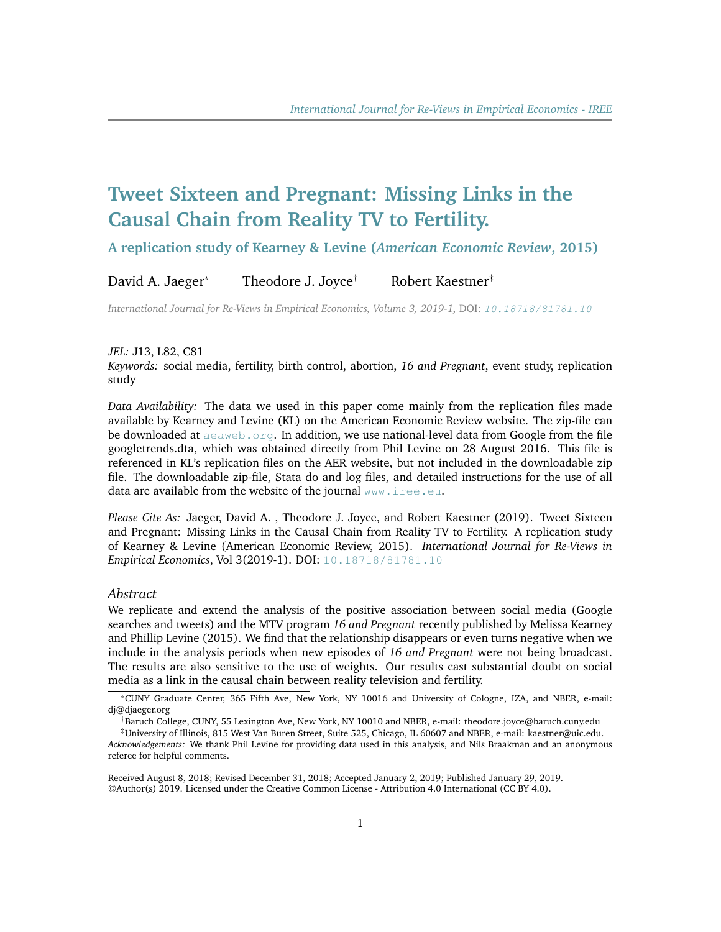# **Tweet Sixteen and Pregnant: Missing Links in the Causal Chain from Reality TV to Fertility.**

**A replication study of Kearney & Levine (***American Economic Review***, 2015)**

David A. Jaeger<sup>\*</sup> Theodore J. Joyce<sup>†</sup> Robert Kaestner<sup>‡</sup>

*International Journal for Re-Views in Empirical Economics, Volume 3, 2019-1,* DOI: [10.18718/81781.10](https://doi.org/10.18718/81781.10)

#### *JEL:* J13, L82, C81

*Keywords:* social media, fertility, birth control, abortion, *16 and Pregnant*, event study, replication study

*Data Availability:* The data we used in this paper come mainly from the replication files made available by Kearney and Levine (KL) on the American Economic Review website. The zip-file can be downloaded at  $a e a w e b$ .  $o r q$ . In addition, we use national-level data from Google from the file googletrends.dta, which was obtained directly from Phil Levine on 28 August 2016. This file is referenced in KL's replication files on the AER website, but not included in the downloadable zip file. The downloadable zip-file, Stata do and log files, and detailed instructions for the use of all data are available from the website of the journal <www.iree.eu>.

*Please Cite As:* Jaeger, David A. , Theodore J. Joyce, and Robert Kaestner (2019). Tweet Sixteen and Pregnant: Missing Links in the Causal Chain from Reality TV to Fertility. A replication study of Kearney & Levine (American Economic Review, 2015). *International Journal for Re-Views in Empirical Economics*, Vol 3(2019-1). DOI: [10.18718/81781.10](https://doi.org/10.18718/81781.10)

#### *Abstract*

We replicate and extend the analysis of the positive association between social media (Google searches and tweets) and the MTV program *16 and Pregnant* recently published by Melissa Kearney and Phillip Levine (2015). We find that the relationship disappears or even turns negative when we include in the analysis periods when new episodes of *16 and Pregnant* were not being broadcast. The results are also sensitive to the use of weights. Our results cast substantial doubt on social media as a link in the causal chain between reality television and fertility.

<sup>\*</sup>CUNY Graduate Center, 365 Fifth Ave, New York, NY 10016 and University of Cologne, IZA, and NBER, e-mail: di@diaeger.org

<sup>†</sup>Baruch College, CUNY, 55 Lexington Ave, New York, NY 10010 and NBER, e-mail: theodore.joyce@baruch.cuny.edu

<sup>‡</sup>University of Illinois, 815 West Van Buren Street, Suite 525, Chicago, IL 60607 and NBER, e-mail: kaestner@uic.edu. *Acknowledgements:* We thank Phil Levine for providing data used in this analysis, and Nils Braakman and an anonymous referee for helpful comments.

Received August 8, 2018; Revised December 31, 2018; Accepted January 2, 2019; Published January 29, 2019. ©Author(s) 2019. Licensed under the Creative Common License - Attribution 4.0 International (CC BY 4.0).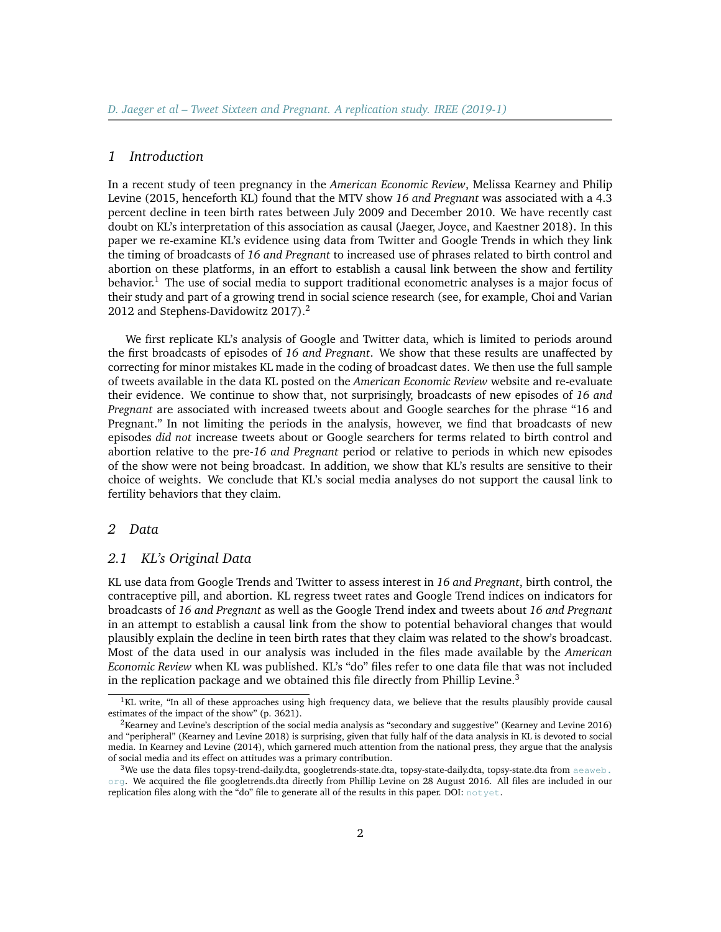#### *1 Introduction*

In a recent study of teen pregnancy in the *American Economic Review*, Melissa Kearney and Philip Levine (2015, henceforth KL) found that the MTV show *16 and Pregnant* was associated with a 4.3 percent decline in teen birth rates between July 2009 and December 2010. We have recently cast doubt on KL's interpretation of this association as causal (Jaeger, Joyce, and Kaestner 2018). In this paper we re-examine KL's evidence using data from Twitter and Google Trends in which they link the timing of broadcasts of *16 and Pregnant* to increased use of phrases related to birth control and abortion on these platforms, in an effort to establish a causal link between the show and fertility behavior.<sup>[1](#page-1-0)</sup> The use of social media to support traditional econometric analyses is a major focus of their study and part of a growing trend in social science research (see, for example, Choi and Varian [2](#page-1-1)012 and Stephens-Davidowitz 2017).<sup>2</sup>

We first replicate KL's analysis of Google and Twitter data, which is limited to periods around the first broadcasts of episodes of *16 and Pregnant*. We show that these results are unaffected by correcting for minor mistakes KL made in the coding of broadcast dates. We then use the full sample of tweets available in the data KL posted on the *American Economic Review* website and re-evaluate their evidence. We continue to show that, not surprisingly, broadcasts of new episodes of *16 and Pregnant* are associated with increased tweets about and Google searches for the phrase "16 and Pregnant." In not limiting the periods in the analysis, however, we find that broadcasts of new episodes *did not* increase tweets about or Google searchers for terms related to birth control and abortion relative to the pre-*16 and Pregnant* period or relative to periods in which new episodes of the show were not being broadcast. In addition, we show that KL's results are sensitive to their choice of weights. We conclude that KL's social media analyses do not support the causal link to fertility behaviors that they claim.

#### *2 Data*

## *2.1 KL's Original Data*

KL use data from Google Trends and Twitter to assess interest in *16 and Pregnant*, birth control, the contraceptive pill, and abortion. KL regress tweet rates and Google Trend indices on indicators for broadcasts of *16 and Pregnant* as well as the Google Trend index and tweets about *16 and Pregnant* in an attempt to establish a causal link from the show to potential behavioral changes that would plausibly explain the decline in teen birth rates that they claim was related to the show's broadcast. Most of the data used in our analysis was included in the files made available by the *American Economic Review* when KL was published. KL's "do" files refer to one data file that was not included in the replication package and we obtained this file directly from Phillip Levine.<sup>[3](#page-1-2)</sup>

<span id="page-1-0"></span><sup>&</sup>lt;sup>1</sup>KL write, "In all of these approaches using high frequency data, we believe that the results plausibly provide causal estimates of the impact of the show" (p. 3621).

<span id="page-1-1"></span><sup>&</sup>lt;sup>2</sup>Kearney and Levine's description of the social media analysis as "secondary and suggestive" (Kearney and Levine 2016) and "peripheral" (Kearney and Levine 2018) is surprising, given that fully half of the data analysis in KL is devoted to social media. In Kearney and Levine (2014), which garnered much attention from the national press, they argue that the analysis of social media and its effect on attitudes was a primary contribution.

<span id="page-1-2"></span> $3$ We use the data files topsy-trend-daily.dta, googletrends-state.dta, topsy-state-daily.dta, topsy-state.dta from [aeaweb.](https://www.aeaweb.org/aer/data/10512/20140012_data.zip) [org](https://www.aeaweb.org/aer/data/10512/20140012_data.zip). We acquired the file googletrends.dta directly from Phillip Levine on 28 August 2016. All files are included in our replication files along with the "do" file to generate all of the results in this paper. DOI: [notyet](https://www.aeaweb.org/aer/data/10512/20140012_data.zip).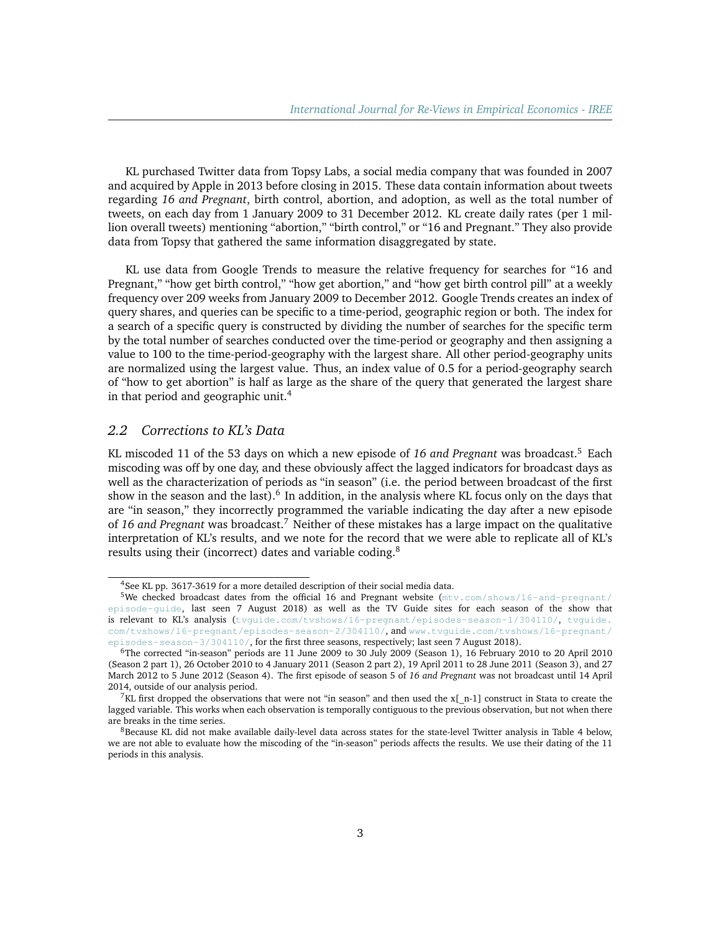KL purchased Twitter data from Topsy Labs, a social media company that was founded in 2007 and acquired by Apple in 2013 before closing in 2015. These data contain information about tweets regarding *16 and Pregnant*, birth control, abortion, and adoption, as well as the total number of tweets, on each day from 1 January 2009 to 31 December 2012. KL create daily rates (per 1 million overall tweets) mentioning "abortion," "birth control," or "16 and Pregnant." They also provide data from Topsy that gathered the same information disaggregated by state.

KL use data from Google Trends to measure the relative frequency for searches for "16 and Pregnant," "how get birth control," "how get abortion," and "how get birth control pill" at a weekly frequency over 209 weeks from January 2009 to December 2012. Google Trends creates an index of query shares, and queries can be specific to a time-period, geographic region or both. The index for a search of a specific query is constructed by dividing the number of searches for the specific term by the total number of searches conducted over the time-period or geography and then assigning a value to 100 to the time-period-geography with the largest share. All other period-geography units are normalized using the largest value. Thus, an index value of 0.5 for a period-geography search of "how to get abortion" is half as large as the share of the query that generated the largest share in that period and geographic unit.[4](#page-2-0)

## *2.2 Corrections to KL's Data*

KL miscoded 11 of the 53 days on which a new episode of *16 and Pregnant* was broadcast.[5](#page-2-1) Each miscoding was off by one day, and these obviously affect the lagged indicators for broadcast days as well as the characterization of periods as "in season" (i.e. the period between broadcast of the first show in the season and the last).<sup>[6](#page-2-2)</sup> In addition, in the analysis where KL focus only on the days that are "in season," they incorrectly programmed the variable indicating the day after a new episode of *16 and Pregnant* was broadcast.[7](#page-2-3) Neither of these mistakes has a large impact on the qualitative interpretation of KL's results, and we note for the record that we were able to replicate all of KL's results using their (incorrect) dates and variable coding.<sup>[8](#page-2-4)</sup>

<span id="page-2-1"></span><span id="page-2-0"></span> $4$ See KL pp. 3617-3619 for a more detailed description of their social media data.

<sup>&</sup>lt;sup>5</sup>We checked broadcast dates from the official 16 and Pregnant website ( $mtv, com/shows/16-and-pregnant/$ [episode-guide](http://www.mtv.com/shows/16-and-pregnant/episode-guide), last seen 7 August 2018) as well as the TV Guide sites for each season of the show that is relevant to KL's analysis ([tvguide.com/tvshows/16-pregnant/episodes-season-1/304110/](http://www.tvguide.com/tvshows/16-pregnant/episodes-season-1/304110/), [tvguide.](http://www.tvguide.com/tvshows/16-pregnant/episodes-season-2/304110/) [com/tvshows/16-pregnant/episodes-season-2/304110/](http://www.tvguide.com/tvshows/16-pregnant/episodes-season-2/304110/), and [www.tvguide.com/tvshows/16-pregnant/](http://www.tvguide.com/tvshows/16-pregnant/episodes-season-3/304110/) [episodes-season-3/304110/](http://www.tvguide.com/tvshows/16-pregnant/episodes-season-3/304110/), for the first three seasons, respectively; last seen 7 August 2018).

<span id="page-2-2"></span><sup>6</sup>The corrected "in-season" periods are 11 June 2009 to 30 July 2009 (Season 1), 16 February 2010 to 20 April 2010 (Season 2 part 1), 26 October 2010 to 4 January 2011 (Season 2 part 2), 19 April 2011 to 28 June 2011 (Season 3), and 27 March 2012 to 5 June 2012 (Season 4). The first episode of season 5 of *16 and Pregnant* was not broadcast until 14 April 2014, outside of our analysis period.

<span id="page-2-3"></span><sup>&</sup>lt;sup>7</sup>KL first dropped the observations that were not "in season" and then used the x[\_n-1] construct in Stata to create the lagged variable. This works when each observation is temporally contiguous to the previous observation, but not when there are breaks in the time series.

<span id="page-2-4"></span><sup>&</sup>lt;sup>8</sup>Because KL did not make available daily-level data across states for the state-level Twitter analysis in Table [4](#page-15-0) below, we are not able to evaluate how the miscoding of the "in-season" periods affects the results. We use their dating of the 11 periods in this analysis.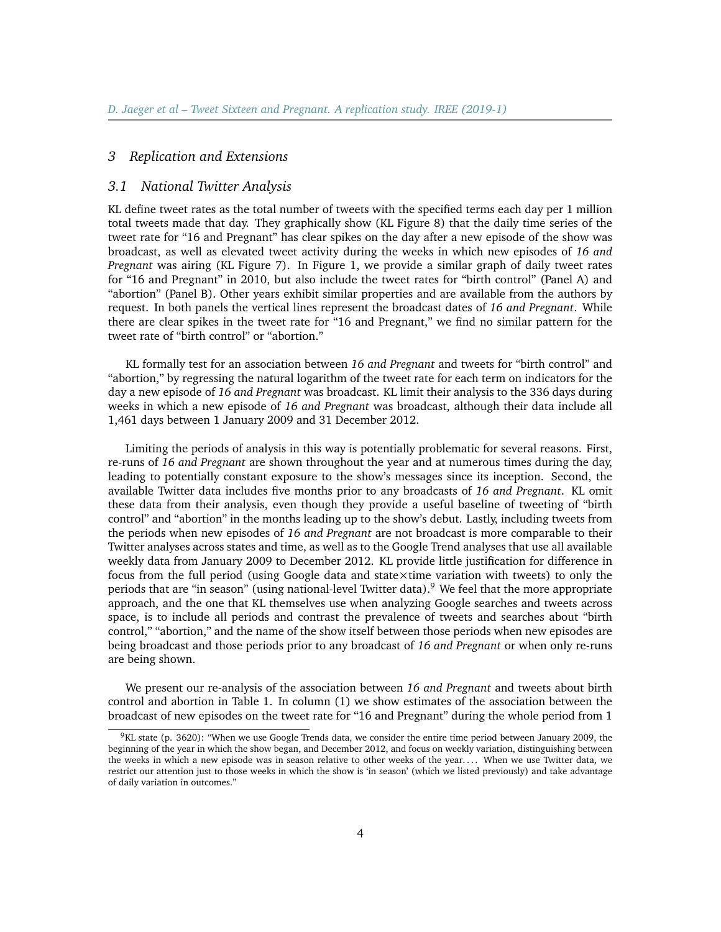## *3 Replication and Extensions*

#### *3.1 National Twitter Analysis*

KL define tweet rates as the total number of tweets with the specified terms each day per 1 million total tweets made that day. They graphically show (KL Figure 8) that the daily time series of the tweet rate for "16 and Pregnant" has clear spikes on the day after a new episode of the show was broadcast, as well as elevated tweet activity during the weeks in which new episodes of *16 and Pregnant* was airing (KL Figure 7). In Figure [1,](#page-10-0) we provide a similar graph of daily tweet rates for "16 and Pregnant" in 2010, but also include the tweet rates for "birth control" (Panel A) and "abortion" (Panel B). Other years exhibit similar properties and are available from the authors by request. In both panels the vertical lines represent the broadcast dates of *16 and Pregnant*. While there are clear spikes in the tweet rate for "16 and Pregnant," we find no similar pattern for the tweet rate of "birth control" or "abortion."

KL formally test for an association between *16 and Pregnant* and tweets for "birth control" and "abortion," by regressing the natural logarithm of the tweet rate for each term on indicators for the day a new episode of *16 and Pregnant* was broadcast. KL limit their analysis to the 336 days during weeks in which a new episode of *16 and Pregnant* was broadcast, although their data include all 1,461 days between 1 January 2009 and 31 December 2012.

Limiting the periods of analysis in this way is potentially problematic for several reasons. First, re-runs of *16 and Pregnant* are shown throughout the year and at numerous times during the day, leading to potentially constant exposure to the show's messages since its inception. Second, the available Twitter data includes five months prior to any broadcasts of *16 and Pregnant*. KL omit these data from their analysis, even though they provide a useful baseline of tweeting of "birth control" and "abortion" in the months leading up to the show's debut. Lastly, including tweets from the periods when new episodes of *16 and Pregnant* are not broadcast is more comparable to their Twitter analyses across states and time, as well as to the Google Trend analyses that use all available weekly data from January 2009 to December 2012. KL provide little justification for difference in focus from the full period (using Google data and state×time variation with tweets) to only the periods that are "in season" (using national-level Twitter data).<sup>[9](#page-3-0)</sup> We feel that the more appropriate approach, and the one that KL themselves use when analyzing Google searches and tweets across space, is to include all periods and contrast the prevalence of tweets and searches about "birth control," "abortion," and the name of the show itself between those periods when new episodes are being broadcast and those periods prior to any broadcast of *16 and Pregnant* or when only re-runs are being shown.

We present our re-analysis of the association between *16 and Pregnant* and tweets about birth control and abortion in Table [1.](#page-12-0) In column (1) we show estimates of the association between the broadcast of new episodes on the tweet rate for "16 and Pregnant" during the whole period from 1

<span id="page-3-0"></span><sup>&</sup>lt;sup>9</sup>KL state (p. 3620): "When we use Google Trends data, we consider the entire time period between January 2009, the beginning of the year in which the show began, and December 2012, and focus on weekly variation, distinguishing between the weeks in which a new episode was in season relative to other weeks of the year.... When we use Twitter data, we restrict our attention just to those weeks in which the show is 'in season' (which we listed previously) and take advantage of daily variation in outcomes."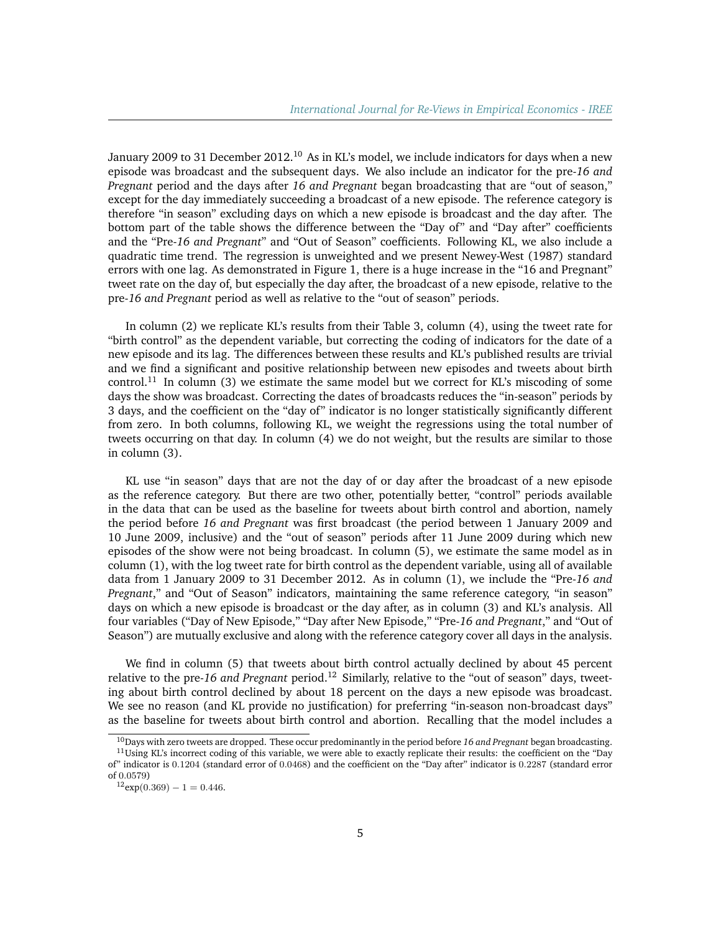January 2009 to 31 December 2012.<sup>[10](#page-4-0)</sup> As in KL's model, we include indicators for days when a new episode was broadcast and the subsequent days. We also include an indicator for the pre-*16 and Pregnant* period and the days after *16 and Pregnant* began broadcasting that are "out of season," except for the day immediately succeeding a broadcast of a new episode. The reference category is therefore "in season" excluding days on which a new episode is broadcast and the day after. The bottom part of the table shows the difference between the "Day of" and "Day after" coefficients and the "Pre-*16 and Pregnant*" and "Out of Season" coefficients. Following KL, we also include a quadratic time trend. The regression is unweighted and we present Newey-West (1987) standard errors with one lag. As demonstrated in Figure [1,](#page-10-0) there is a huge increase in the "16 and Pregnant" tweet rate on the day of, but especially the day after, the broadcast of a new episode, relative to the pre-*16 and Pregnant* period as well as relative to the "out of season" periods.

In column (2) we replicate KL's results from their Table 3, column (4), using the tweet rate for "birth control" as the dependent variable, but correcting the coding of indicators for the date of a new episode and its lag. The differences between these results and KL's published results are trivial and we find a significant and positive relationship between new episodes and tweets about birth control.<sup>[11](#page-4-1)</sup> In column (3) we estimate the same model but we correct for KL's miscoding of some days the show was broadcast. Correcting the dates of broadcasts reduces the "in-season" periods by 3 days, and the coefficient on the "day of" indicator is no longer statistically significantly different from zero. In both columns, following KL, we weight the regressions using the total number of tweets occurring on that day. In column (4) we do not weight, but the results are similar to those in column (3).

KL use "in season" days that are not the day of or day after the broadcast of a new episode as the reference category. But there are two other, potentially better, "control" periods available in the data that can be used as the baseline for tweets about birth control and abortion, namely the period before *16 and Pregnant* was first broadcast (the period between 1 January 2009 and 10 June 2009, inclusive) and the "out of season" periods after 11 June 2009 during which new episodes of the show were not being broadcast. In column (5), we estimate the same model as in column (1), with the log tweet rate for birth control as the dependent variable, using all of available data from 1 January 2009 to 31 December 2012. As in column (1), we include the "Pre-*16 and Pregnant*," and "Out of Season" indicators, maintaining the same reference category, "in season" days on which a new episode is broadcast or the day after, as in column (3) and KL's analysis. All four variables ("Day of New Episode," "Day after New Episode," "Pre-*16 and Pregnant*," and "Out of Season") are mutually exclusive and along with the reference category cover all days in the analysis.

We find in column (5) that tweets about birth control actually declined by about 45 percent relative to the pre-*16 and Pregnant* period.[12](#page-4-2) Similarly, relative to the "out of season" days, tweeting about birth control declined by about 18 percent on the days a new episode was broadcast. We see no reason (and KL provide no justification) for preferring "in-season non-broadcast days" as the baseline for tweets about birth control and abortion. Recalling that the model includes a

<span id="page-4-1"></span><span id="page-4-0"></span><sup>10</sup>Days with zero tweets are dropped. These occur predominantly in the period before *16 and Pregnant* began broadcasting.  $11$ Using KL's incorrect coding of this variable, we were able to exactly replicate their results: the coefficient on the "Day

of" indicator is 0.1204 (standard error of 0.0468) and the coefficient on the "Day after" indicator is 0.2287 (standard error of 0.0579)

<span id="page-4-2"></span> $12$ exp $(0.369) - 1 = 0.446$ .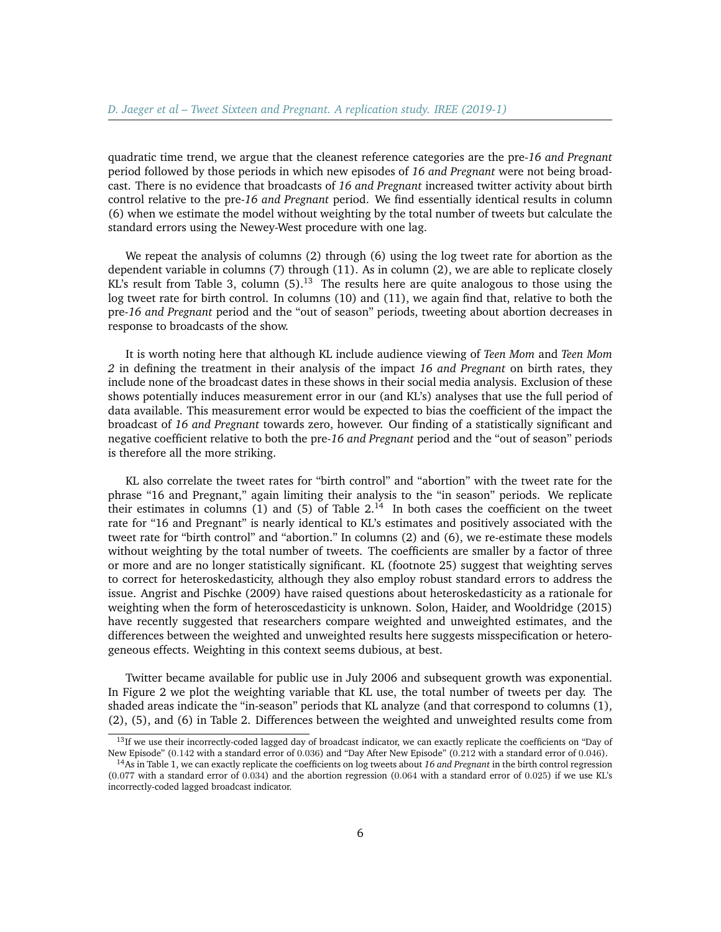quadratic time trend, we argue that the cleanest reference categories are the pre-*16 and Pregnant* period followed by those periods in which new episodes of *16 and Pregnant* were not being broadcast. There is no evidence that broadcasts of *16 and Pregnant* increased twitter activity about birth control relative to the pre-*16 and Pregnant* period. We find essentially identical results in column (6) when we estimate the model without weighting by the total number of tweets but calculate the standard errors using the Newey-West procedure with one lag.

We repeat the analysis of columns (2) through (6) using the log tweet rate for abortion as the dependent variable in columns (7) through (11). As in column (2), we are able to replicate closely KL's result from Table 3, column  $(5)$ .<sup>[13](#page-5-0)</sup> The results here are quite analogous to those using the log tweet rate for birth control. In columns (10) and (11), we again find that, relative to both the pre-*16 and Pregnant* period and the "out of season" periods, tweeting about abortion decreases in response to broadcasts of the show.

It is worth noting here that although KL include audience viewing of *Teen Mom* and *Teen Mom 2* in defining the treatment in their analysis of the impact *16 and Pregnant* on birth rates, they include none of the broadcast dates in these shows in their social media analysis. Exclusion of these shows potentially induces measurement error in our (and KL's) analyses that use the full period of data available. This measurement error would be expected to bias the coefficient of the impact the broadcast of *16 and Pregnant* towards zero, however. Our finding of a statistically significant and negative coefficient relative to both the pre-*16 and Pregnant* period and the "out of season" periods is therefore all the more striking.

KL also correlate the tweet rates for "birth control" and "abortion" with the tweet rate for the phrase "16 and Pregnant," again limiting their analysis to the "in season" periods. We replicate their estimates in columns (1) and (5) of Table  $2^{14}$  $2^{14}$  $2^{14}$ . In both cases the coefficient on the tweet rate for "16 and Pregnant" is nearly identical to KL's estimates and positively associated with the tweet rate for "birth control" and "abortion." In columns (2) and (6), we re-estimate these models without weighting by the total number of tweets. The coefficients are smaller by a factor of three or more and are no longer statistically significant. KL (footnote 25) suggest that weighting serves to correct for heteroskedasticity, although they also employ robust standard errors to address the issue. Angrist and Pischke (2009) have raised questions about heteroskedasticity as a rationale for weighting when the form of heteroscedasticity is unknown. Solon, Haider, and Wooldridge (2015) have recently suggested that researchers compare weighted and unweighted estimates, and the differences between the weighted and unweighted results here suggests misspecification or heterogeneous effects. Weighting in this context seems dubious, at best.

Twitter became available for public use in July 2006 and subsequent growth was exponential. In Figure [2](#page-11-0) we plot the weighting variable that KL use, the total number of tweets per day. The shaded areas indicate the "in-season" periods that KL analyze (and that correspond to columns (1), (2), (5), and (6) in Table [2.](#page-13-0) Differences between the weighted and unweighted results come from

<span id="page-5-0"></span><sup>&</sup>lt;sup>13</sup>If we use their incorrectly-coded lagged day of broadcast indicator, we can exactly replicate the coefficients on "Day of New Episode" (0.142 with a standard error of 0.036) and "Day After New Episode" (0.212 with a standard error of 0.046).

<span id="page-5-1"></span><sup>14</sup>As in Table 1, we can exactly replicate the coefficients on log tweets about *16 and Pregnant* in the birth control regression (0.077 with a standard error of 0.034) and the abortion regression (0.064 with a standard error of 0.025) if we use KL's incorrectly-coded lagged broadcast indicator.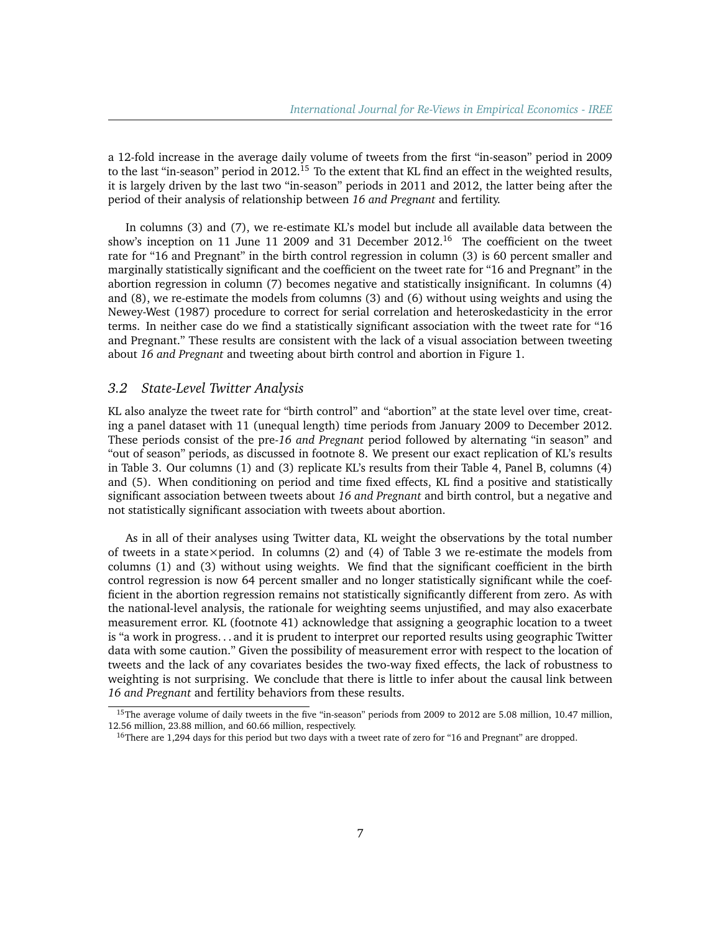a 12-fold increase in the average daily volume of tweets from the first "in-season" period in 2009 to the last "in-season" period in  $2012<sup>15</sup>$  $2012<sup>15</sup>$  $2012<sup>15</sup>$  To the extent that KL find an effect in the weighted results, it is largely driven by the last two "in-season" periods in 2011 and 2012, the latter being after the period of their analysis of relationship between *16 and Pregnant* and fertility.

In columns (3) and (7), we re-estimate KL's model but include all available data between the show's inception on 11 June 11 2009 and 31 December  $2012<sup>16</sup>$  $2012<sup>16</sup>$  $2012<sup>16</sup>$  The coefficient on the tweet rate for "16 and Pregnant" in the birth control regression in column (3) is 60 percent smaller and marginally statistically significant and the coefficient on the tweet rate for "16 and Pregnant" in the abortion regression in column (7) becomes negative and statistically insignificant. In columns (4) and (8), we re-estimate the models from columns (3) and (6) without using weights and using the Newey-West (1987) procedure to correct for serial correlation and heteroskedasticity in the error terms. In neither case do we find a statistically significant association with the tweet rate for "16 and Pregnant." These results are consistent with the lack of a visual association between tweeting about *16 and Pregnant* and tweeting about birth control and abortion in Figure 1.

## *3.2 State-Level Twitter Analysis*

KL also analyze the tweet rate for "birth control" and "abortion" at the state level over time, creating a panel dataset with 11 (unequal length) time periods from January 2009 to December 2012. These periods consist of the pre-*16 and Pregnant* period followed by alternating "in season" and "out of season" periods, as discussed in footnote 8. We present our exact replication of KL's results in Table [3.](#page-14-0) Our columns (1) and (3) replicate KL's results from their Table 4, Panel B, columns (4) and (5). When conditioning on period and time fixed effects, KL find a positive and statistically significant association between tweets about *16 and Pregnant* and birth control, but a negative and not statistically significant association with tweets about abortion.

As in all of their analyses using Twitter data, KL weight the observations by the total number of tweets in a state×period. In columns  $(2)$  and  $(4)$  of Table [3](#page-14-0) we re-estimate the models from columns (1) and (3) without using weights. We find that the significant coefficient in the birth control regression is now 64 percent smaller and no longer statistically significant while the coefficient in the abortion regression remains not statistically significantly different from zero. As with the national-level analysis, the rationale for weighting seems unjustified, and may also exacerbate measurement error. KL (footnote 41) acknowledge that assigning a geographic location to a tweet is "a work in progress. . . and it is prudent to interpret our reported results using geographic Twitter data with some caution." Given the possibility of measurement error with respect to the location of tweets and the lack of any covariates besides the two-way fixed effects, the lack of robustness to weighting is not surprising. We conclude that there is little to infer about the causal link between *16 and Pregnant* and fertility behaviors from these results.

<span id="page-6-0"></span><sup>&</sup>lt;sup>15</sup>The average volume of daily tweets in the five "in-season" periods from 2009 to 2012 are 5.08 million, 10.47 million, 12.56 million, 23.88 million, and 60.66 million, respectively.

<span id="page-6-1"></span><sup>&</sup>lt;sup>16</sup>There are 1,294 days for this period but two days with a tweet rate of zero for "16 and Pregnant" are dropped.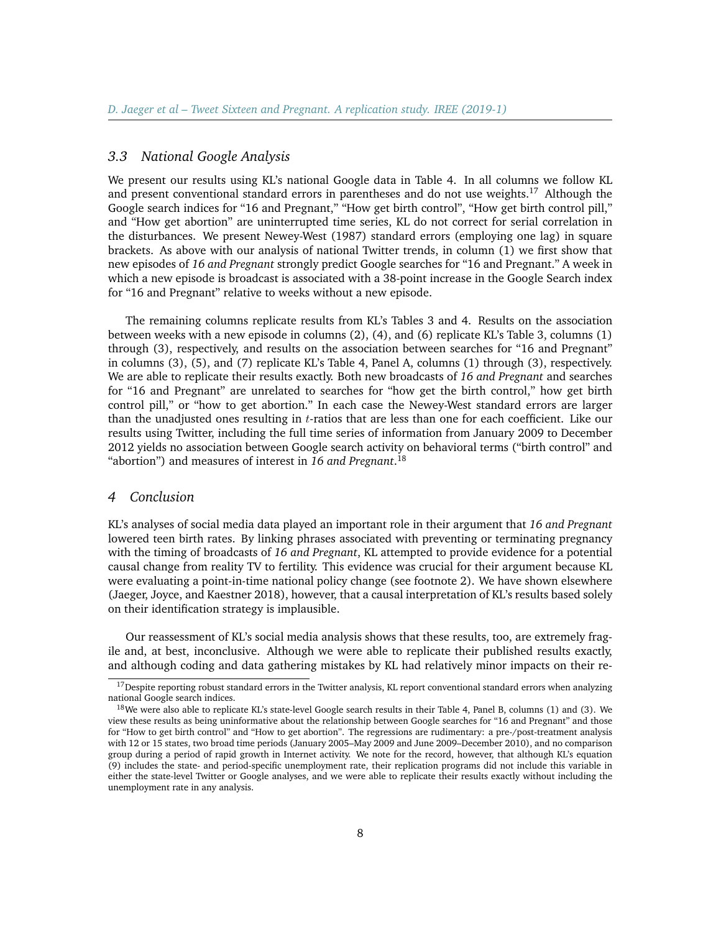# *3.3 National Google Analysis*

We present our results using KL's national Google data in Table [4.](#page-15-0) In all columns we follow KL and present conventional standard errors in parentheses and do not use weights.<sup>[17](#page-7-0)</sup> Although the Google search indices for "16 and Pregnant," "How get birth control", "How get birth control pill," and "How get abortion" are uninterrupted time series, KL do not correct for serial correlation in the disturbances. We present Newey-West (1987) standard errors (employing one lag) in square brackets. As above with our analysis of national Twitter trends, in column (1) we first show that new episodes of *16 and Pregnant* strongly predict Google searches for "16 and Pregnant." A week in which a new episode is broadcast is associated with a 38-point increase in the Google Search index for "16 and Pregnant" relative to weeks without a new episode.

The remaining columns replicate results from KL's Tables 3 and 4. Results on the association between weeks with a new episode in columns (2), (4), and (6) replicate KL's Table 3, columns (1) through (3), respectively, and results on the association between searches for "16 and Pregnant" in columns (3), (5), and (7) replicate KL's Table 4, Panel A, columns (1) through (3), respectively. We are able to replicate their results exactly. Both new broadcasts of *16 and Pregnant* and searches for "16 and Pregnant" are unrelated to searches for "how get the birth control," how get birth control pill," or "how to get abortion." In each case the Newey-West standard errors are larger than the unadjusted ones resulting in  $t$ -ratios that are less than one for each coefficient. Like our results using Twitter, including the full time series of information from January 2009 to December 2012 yields no association between Google search activity on behavioral terms ("birth control" and "abortion") and measures of interest in *16 and Pregnant*. [18](#page-7-1)

#### *4 Conclusion*

KL's analyses of social media data played an important role in their argument that *16 and Pregnant* lowered teen birth rates. By linking phrases associated with preventing or terminating pregnancy with the timing of broadcasts of *16 and Pregnant*, KL attempted to provide evidence for a potential causal change from reality TV to fertility. This evidence was crucial for their argument because KL were evaluating a point-in-time national policy change (see footnote 2). We have shown elsewhere (Jaeger, Joyce, and Kaestner 2018), however, that a causal interpretation of KL's results based solely on their identification strategy is implausible.

Our reassessment of KL's social media analysis shows that these results, too, are extremely fragile and, at best, inconclusive. Although we were able to replicate their published results exactly, and although coding and data gathering mistakes by KL had relatively minor impacts on their re-

<span id="page-7-0"></span> $17$ Despite reporting robust standard errors in the Twitter analysis, KL report conventional standard errors when analyzing national Google search indices.

<span id="page-7-1"></span> $18$ We were also able to replicate KL's state-level Google search results in their Table 4, Panel B, columns (1) and (3). We view these results as being uninformative about the relationship between Google searches for "16 and Pregnant" and those for "How to get birth control" and "How to get abortion". The regressions are rudimentary: a pre-/post-treatment analysis with 12 or 15 states, two broad time periods (January 2005–May 2009 and June 2009–December 2010), and no comparison group during a period of rapid growth in Internet activity. We note for the record, however, that although KL's equation (9) includes the state- and period-specific unemployment rate, their replication programs did not include this variable in either the state-level Twitter or Google analyses, and we were able to replicate their results exactly without including the unemployment rate in any analysis.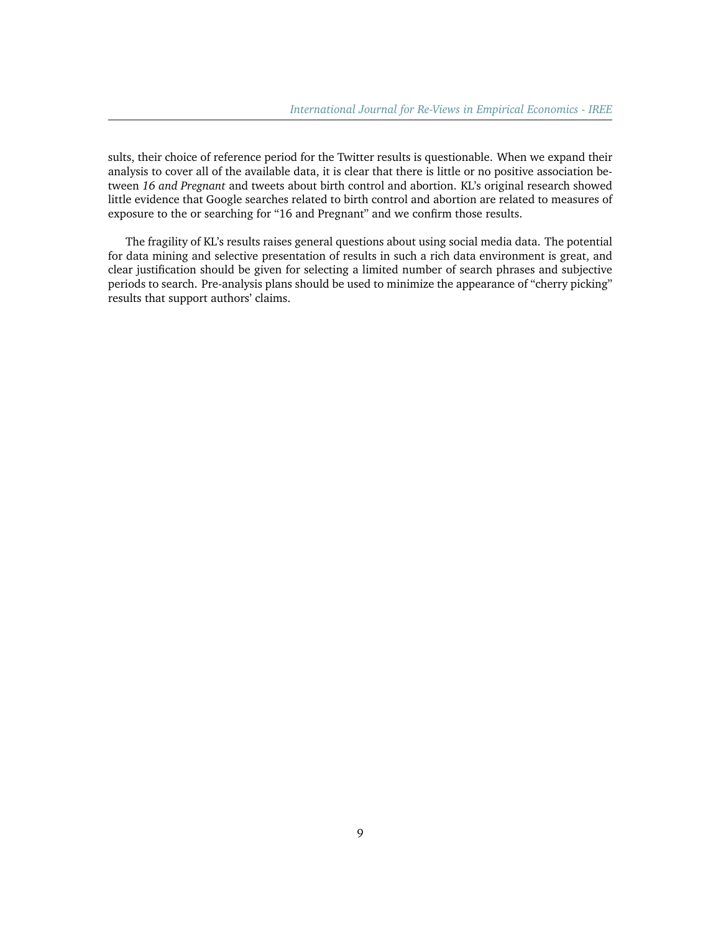sults, their choice of reference period for the Twitter results is questionable. When we expand their analysis to cover all of the available data, it is clear that there is little or no positive association between *16 and Pregnant* and tweets about birth control and abortion. KL's original research showed little evidence that Google searches related to birth control and abortion are related to measures of exposure to the or searching for "16 and Pregnant" and we confirm those results.

The fragility of KL's results raises general questions about using social media data. The potential for data mining and selective presentation of results in such a rich data environment is great, and clear justification should be given for selecting a limited number of search phrases and subjective periods to search. Pre-analysis plans should be used to minimize the appearance of "cherry picking" results that support authors' claims.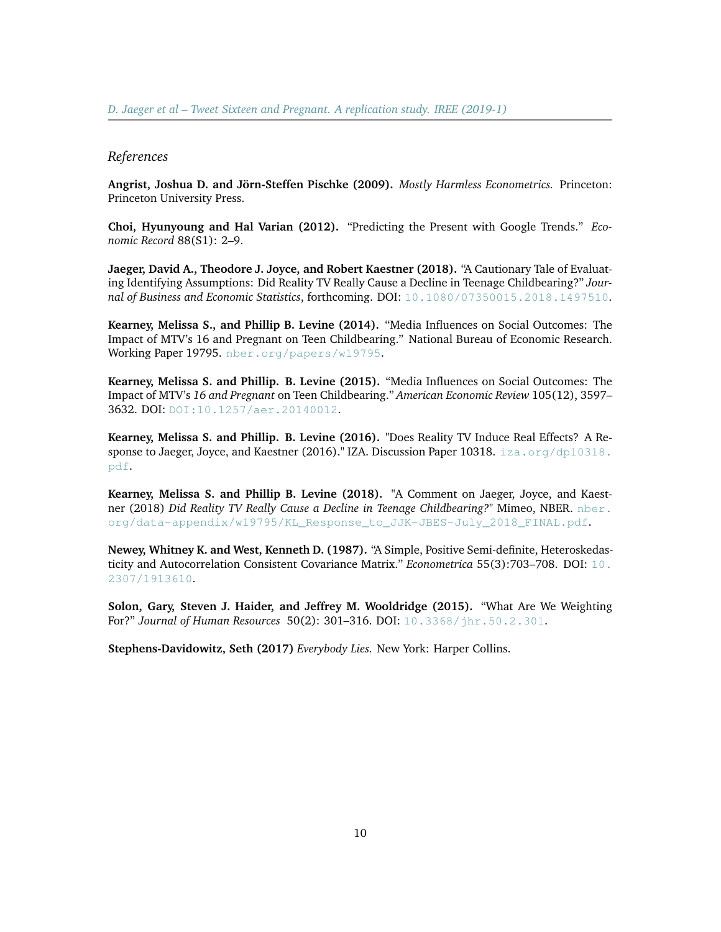#### *References*

**Angrist, Joshua D. and Jörn-Steffen Pischke (2009).** *Mostly Harmless Econometrics.* Princeton: Princeton University Press.

**Choi, Hyunyoung and Hal Varian (2012).** "Predicting the Present with Google Trends." *Economic Record* 88(S1): 2–9.

**Jaeger, David A., Theodore J. Joyce, and Robert Kaestner (2018).** "A Cautionary Tale of Evaluating Identifying Assumptions: Did Reality TV Really Cause a Decline in Teenage Childbearing?" *Journal of Business and Economic Statistics*, forthcoming. DOI: [10.1080/07350015.2018.1497510](https://doi.org/10.1080/07350015.2018.1497510).

**Kearney, Melissa S., and Phillip B. Levine (2014).** "Media Influences on Social Outcomes: The Impact of MTV's 16 and Pregnant on Teen Childbearing." National Bureau of Economic Research. Working Paper 19795. [nber.org/papers/w19795](http://www.nber.org/papers/w19795).

**Kearney, Melissa S. and Phillip. B. Levine (2015).** "Media Influences on Social Outcomes: The Impact of MTV's *16 and Pregnant* on Teen Childbearing." *American Economic Review* 105(12), 3597– 3632. DOI: [DOI:10.1257/aer.20140012](https://www.aeaweb.org/articles?id=10.1257/aer.20140012).

**Kearney, Melissa S. and Phillip. B. Levine (2016).** "Does Reality TV Induce Real Effects? A Response to Jaeger, Joyce, and Kaestner (2016)." IZA. Discussion Paper 10318. [iza.org/dp10318.](http://ftp.iza.org/dp10318.pdf) [pdf](http://ftp.iza.org/dp10318.pdf).

**Kearney, Melissa S. and Phillip B. Levine (2018).** "A Comment on Jaeger, Joyce, and Kaestner (2018) *Did Reality TV Really Cause a Decline in Teenage Childbearing?*" Mimeo, NBER. [nber.](https://www.nber.org/data-appendix/w19795/KL_Response_to_JJK-JBES-July_2018_FINAL.pdf) [org/data-appendix/w19795/KL\\_Response\\_to\\_JJK-JBES-July\\_2018\\_FINAL.pdf](https://www.nber.org/data-appendix/w19795/KL_Response_to_JJK-JBES-July_2018_FINAL.pdf).

**Newey, Whitney K. and West, Kenneth D. (1987).** "A Simple, Positive Semi-definite, Heteroskedasticity and Autocorrelation Consistent Covariance Matrix." *Econometrica* 55(3):703–708. DOI: [10.](https://www.jstor.org/stable/1913610) [2307/1913610](https://www.jstor.org/stable/1913610).

**Solon, Gary, Steven J. Haider, and Jeffrey M. Wooldridge (2015).** "What Are We Weighting For?" *Journal of Human Resources* 50(2): 301–316. DOI: [10.3368/jhr.50.2.301](http://jhr.uwpress.org/content/50/2/301.short).

**Stephens-Davidowitz, Seth (2017)** *Everybody Lies.* New York: Harper Collins.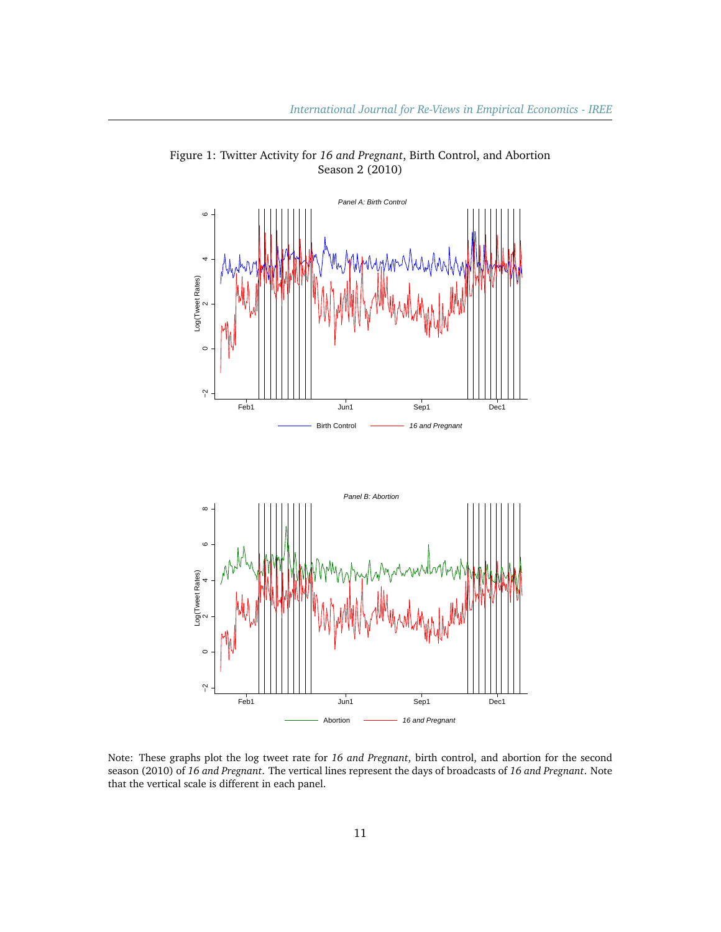

<span id="page-10-0"></span>Figure 1: Twitter Activity for *16 and Pregnant*, Birth Control, and Abortion Season 2 (2010)

Note: These graphs plot the log tweet rate for *16 and Pregnant*, birth control, and abortion for the second season (2010) of *16 and Pregnant*. The vertical lines represent the days of broadcasts of *16 and Pregnant*. Note that the vertical scale is different in each panel.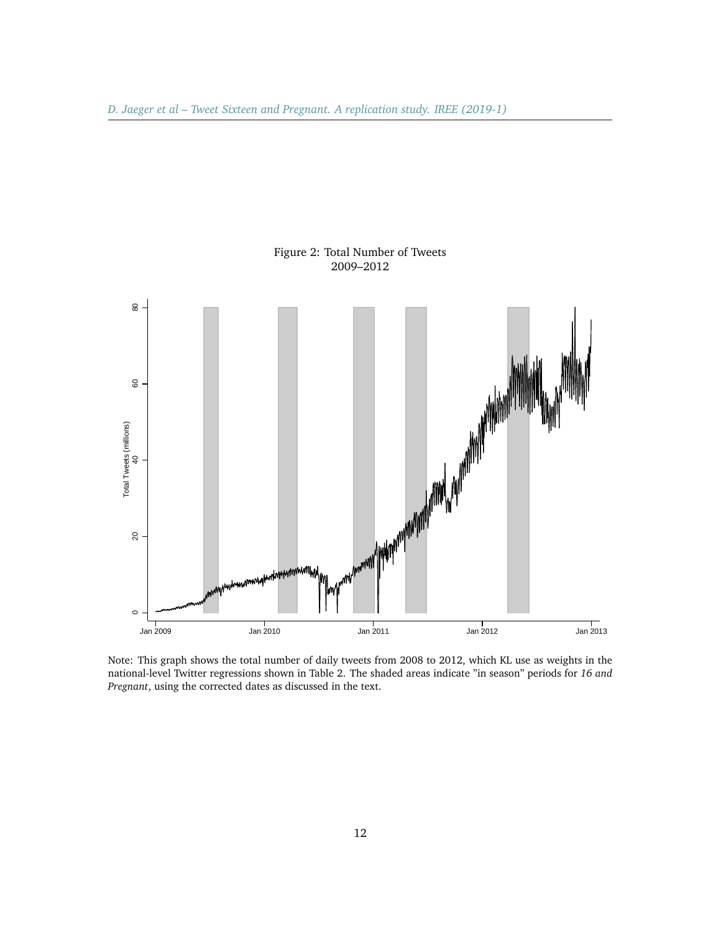<span id="page-11-0"></span>

Figure 2: Total Number of Tweets 2009–2012

Note: This graph shows the total number of daily tweets from 2008 to 2012, which KL use as weights in the national-level Twitter regressions shown in Table 2. The shaded areas indicate "in season" periods for *16 and Pregnant*, using the corrected dates as discussed in the text.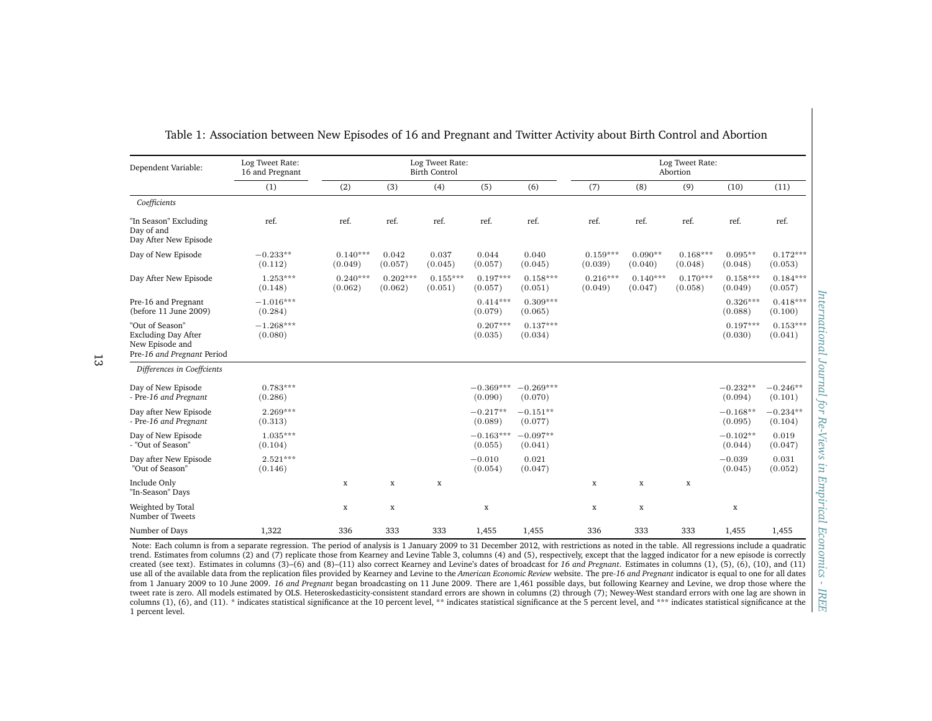| Dependent Variable:                                                                            | Log Tweet Rate:<br>16 and Pregnant |                       |                       | Log Tweet Rate:<br><b>Birth Control</b> |                        |                        |                       |                       | Log Tweet Rate:<br>Abortion |                       |                       |
|------------------------------------------------------------------------------------------------|------------------------------------|-----------------------|-----------------------|-----------------------------------------|------------------------|------------------------|-----------------------|-----------------------|-----------------------------|-----------------------|-----------------------|
|                                                                                                | (1)                                | (2)                   | (3)                   | (4)                                     | (5)                    | (6)                    | (7)                   | (8)                   | (9)                         | (10)                  | (11)                  |
| Coefficients                                                                                   |                                    |                       |                       |                                         |                        |                        |                       |                       |                             |                       |                       |
| "In Season" Excluding<br>Day of and<br>Day After New Episode                                   | ref.                               | ref.                  | ref.                  | ref.                                    | ref.                   | ref.                   | ref.                  | ref.                  | ref.                        | ref.                  | ref.                  |
| Day of New Episode                                                                             | $-0.233**$<br>(0.112)              | $0.140***$<br>(0.049) | 0.042<br>(0.057)      | 0.037<br>(0.045)                        | 0.044<br>(0.057)       | 0.040<br>(0.045)       | $0.159***$<br>(0.039) | $0.090**$<br>(0.040)  | $0.168***$<br>(0.048)       | $0.095**$<br>(0.048)  | $0.172***$<br>(0.053) |
| Day After New Episode                                                                          | $1.253***$<br>(0.148)              | $0.240***$<br>(0.062) | $0.202***$<br>(0.062) | $0.155***$<br>(0.051)                   | $0.197***$<br>(0.057)  | $0.158***$<br>(0.051)  | $0.216***$<br>(0.049) | $0.140***$<br>(0.047) | $0.170***$<br>(0.058)       | $0.158***$<br>(0.049) | $0.184***$<br>(0.057) |
| Pre-16 and Pregnant<br>(before 11 June 2009)                                                   | $-1.016***$<br>(0.284)             |                       |                       |                                         | $0.414***$<br>(0.079)  | $0.309***$<br>(0.065)  |                       |                       |                             | $0.326***$<br>(0.088) | $0.418***$<br>(0.100) |
| "Out of Season"<br><b>Excluding Day After</b><br>New Episode and<br>Pre-16 and Pregnant Period | $-1.268***$<br>(0.080)             |                       |                       |                                         | $0.207***$<br>(0.035)  | $0.137***$<br>(0.034)  |                       |                       |                             | $0.197***$<br>(0.030) | $0.153***$<br>(0.041) |
| Differences in Coeffcients                                                                     |                                    |                       |                       |                                         |                        |                        |                       |                       |                             |                       |                       |
| Day of New Episode<br>- Pre-16 and Pregnant                                                    | $0.783***$<br>(0.286)              |                       |                       |                                         | $-0.369***$<br>(0.090) | $-0.269***$<br>(0.070) |                       |                       |                             | $-0.232**$<br>(0.094) | $-0.246**$<br>(0.101) |
| Day after New Episode<br>- Pre-16 and Pregnant                                                 | $2.269***$<br>(0.313)              |                       |                       |                                         | $-0.217**$<br>(0.089)  | $-0.151**$<br>(0.077)  |                       |                       |                             | $-0.168**$<br>(0.095) | $-0.234**$<br>(0.104) |
| Day of New Episode<br>- "Out of Season"                                                        | 1.035***<br>(0.104)                |                       |                       |                                         | $-0.163***$<br>(0.055) | $-0.097**$<br>(0.041)  |                       |                       |                             | $-0.102**$<br>(0.044) | 0.019<br>(0.047)      |
| Day after New Episode<br>"Out of Season"                                                       | $2.521***$<br>(0.146)              |                       |                       |                                         | $-0.010$<br>(0.054)    | 0.021<br>(0.047)       |                       |                       |                             | $-0.039$<br>(0.045)   | 0.031<br>(0.052)      |
| Include Only<br>"In-Season" Days                                                               |                                    | $\mathbf x$           | $\mathbf x$           | $\mathbf X$                             |                        |                        | $\mathbf x$           | $\mathbf x$           | $\mathbf X$                 |                       |                       |
| Weighted by Total<br>Number of Tweets                                                          |                                    | $\mathbf x$           | $\mathbf x$           |                                         | $\mathbf x$            |                        | $\mathbf x$           | $\mathbf x$           |                             | $\mathbf x$           |                       |
| Number of Days                                                                                 | 1,322                              | 336                   | 333                   | 333                                     | 1,455                  | 1,455                  | 336                   | 333                   | 333                         | 1,455                 | 1,455                 |

Table 1: Association between New Episodes of 16 and Pregnant and Twitter Activity about Birth Control and Abortion

<span id="page-12-0"></span>Note: Each column is from a separate regression. The period of analysis is 1 January 2009 to 31 December 2012, with restrictions as noted in the table. All regressions include a quadratic trend. Estimates from columns (2) and (7) replicate those from Kearney and Levine Table 3, columns (4) and (5), respectively, excep<sup>t</sup> that the lagged indicator for <sup>a</sup> new episode is correctly created (see text). Estimates in columns (3)–(6) and (8)–(11) also correct Kearney and Levine's dates of broadcast for *<sup>16</sup> and Pregnant*. Estimates in columns (1), (5), (6), (10), and (11)use all of the available data from the replication files provided by Kearney and Levine to the *American Economic Review* website. The pre-16 and Pregnant indicator is equal to one for all dates from 1 January 2009 to 10 June 2009. *16 and Pregnant* began broadcasting on <sup>11</sup> June 2009. There are 1,461 possible days, but following Kearney and Levine, we drop those where the tweet rate is zero. All models estimated by OLS. Heteroskedasticity-consistent standard errors are shown in columns (2) through (7); Newey-West standard errors with one lag are shown incolumns (1), (6), and (11). \* indicates statistical significance at the 10 percent level, \*\* indicates statistical significance at the 5 percent level, and \*\*\* indicates statistical significance at the 5 percent level, and 1 percen<sup>t</sup> level.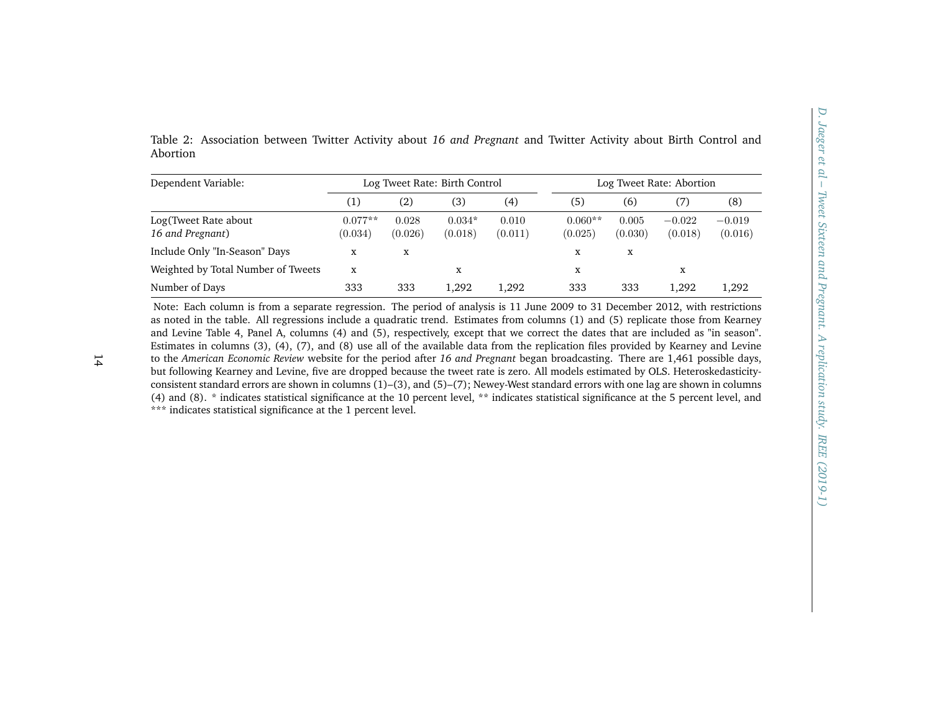<span id="page-13-0"></span>

| Dependent Variable:                                                                                                                                                                                                                                                                                                                                                                                                                                                                                                                                                                                                                                                                                                                                                                                                                                                                                         | Log Tweet Rate: Birth Control |                  |                     |                  | Log Tweet Rate: Abortion |                  |                     |                     |
|-------------------------------------------------------------------------------------------------------------------------------------------------------------------------------------------------------------------------------------------------------------------------------------------------------------------------------------------------------------------------------------------------------------------------------------------------------------------------------------------------------------------------------------------------------------------------------------------------------------------------------------------------------------------------------------------------------------------------------------------------------------------------------------------------------------------------------------------------------------------------------------------------------------|-------------------------------|------------------|---------------------|------------------|--------------------------|------------------|---------------------|---------------------|
|                                                                                                                                                                                                                                                                                                                                                                                                                                                                                                                                                                                                                                                                                                                                                                                                                                                                                                             | (1)                           | (2)              | (3)                 | (4)              | (5)                      | (6)              | (7)                 | (8)                 |
| Log(Tweet Rate about<br>16 and Pregnant)                                                                                                                                                                                                                                                                                                                                                                                                                                                                                                                                                                                                                                                                                                                                                                                                                                                                    | $0.077**$<br>(0.034)          | 0.028<br>(0.026) | $0.034*$<br>(0.018) | 0.010<br>(0.011) | $0.060**$<br>(0.025)     | 0.005<br>(0.030) | $-0.022$<br>(0.018) | $-0.019$<br>(0.016) |
| Include Only "In-Season" Days                                                                                                                                                                                                                                                                                                                                                                                                                                                                                                                                                                                                                                                                                                                                                                                                                                                                               | $\mathbf x$                   | $\mathbf X$      |                     |                  | $\mathbf X$              | X                |                     |                     |
| Weighted by Total Number of Tweets                                                                                                                                                                                                                                                                                                                                                                                                                                                                                                                                                                                                                                                                                                                                                                                                                                                                          | $\mathbf x$                   |                  | x                   |                  | $\mathbf x$              |                  | $\mathbf x$         |                     |
| Number of Days                                                                                                                                                                                                                                                                                                                                                                                                                                                                                                                                                                                                                                                                                                                                                                                                                                                                                              | 333                           | 333              | 1,292               | 1,292            | 333                      | 333              | 1,292               | 1,292               |
| and Levine Table 4, Panel A, columns (4) and (5), respectively, except that we correct the dates that are included as "in season".<br>Estimates in columns (3), (4), (7), and (8) use all of the available data from the replication files provided by Kearney and Levine<br>to the American Economic Review website for the period after 16 and Pregnant began broadcasting. There are 1,461 possible days,<br>but following Kearney and Levine, five are dropped because the tweet rate is zero. All models estimated by OLS. Heteroskedasticity-<br>consistent standard errors are shown in columns (1)-(3), and (5)-(7); Newey-West standard errors with one lag are shown in columns<br>(4) and (8). * indicates statistical significance at the 10 percent level, ** indicates statistical significance at the 5 percent level, and<br>*** indicates statistical significance at the 1 percent level. |                               |                  |                     |                  |                          |                  |                     |                     |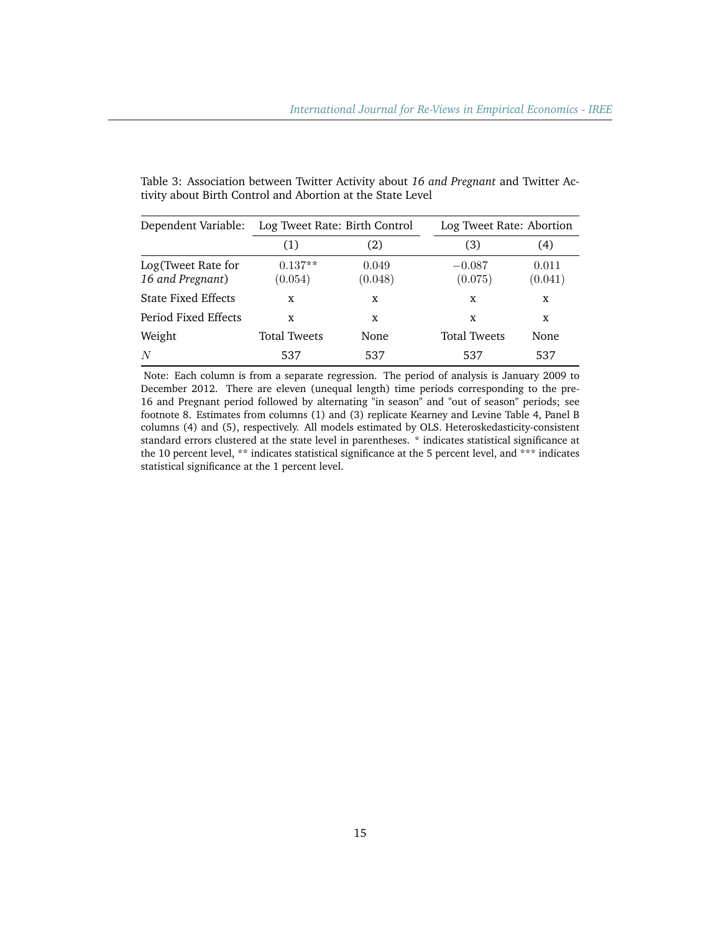| Dependent Variable:                    | Log Tweet Rate: Birth Control |                  | Log Tweet Rate: Abortion |                  |
|----------------------------------------|-------------------------------|------------------|--------------------------|------------------|
|                                        | (1)                           | (2)              | 3)                       | (4)              |
| Log(Tweet Rate for<br>16 and Pregnant) | $0.137**$<br>(0.054)          | 0.049<br>(0.048) | $-0.087$<br>(0.075)      | 0.011<br>(0.041) |
| <b>State Fixed Effects</b>             | X                             | X                | X                        | X                |
| Period Fixed Effects                   | X                             | X                | X                        | x                |
| Weight                                 | <b>Total Tweets</b>           | None             | <b>Total Tweets</b>      | None             |
| N                                      | 537                           | 537              | 537                      | 537              |

<span id="page-14-0"></span>Table 3: Association between Twitter Activity about *16 and Pregnant* and Twitter Activity about Birth Control and Abortion at the State Level

Note: Each column is from a separate regression. The period of analysis is January 2009 to December 2012. There are eleven (unequal length) time periods corresponding to the pre-16 and Pregnant period followed by alternating "in season" and "out of season" periods; see footnote 8. Estimates from columns (1) and (3) replicate Kearney and Levine Table 4, Panel B columns (4) and (5), respectively. All models estimated by OLS. Heteroskedasticity-consistent standard errors clustered at the state level in parentheses. \* indicates statistical significance at the 10 percent level, \*\* indicates statistical significance at the 5 percent level, and \*\*\* indicates statistical significance at the 1 percent level.